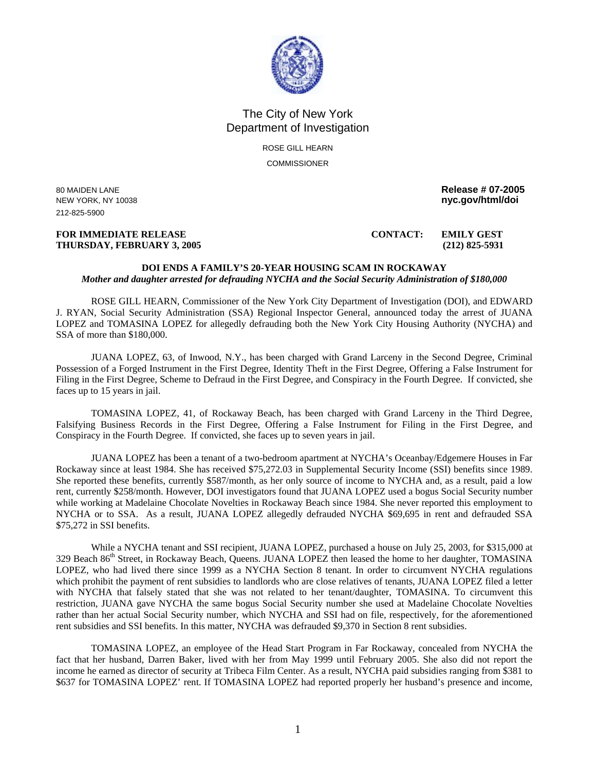

## The City of New York Department of Investigation

ROSE GILL HEARN **COMMISSIONER** 

212-825-5900

## **FOR IMMEDIATE RELEASE CONTACT: EMILY GEST THURSDAY, FEBRUARY 3, 2005 (212) 825-5931**

80 MAIDEN LANE **Release # 07-2005**  NEW YORK, NY 10038 **nyc.gov/html/doi** 

## **DOI ENDS A FAMILY'S 20-YEAR HOUSING SCAM IN ROCKAWAY**  *Mother and daughter arrested for defrauding NYCHA and the Social Security Administration of \$180,000*

ROSE GILL HEARN, Commissioner of the New York City Department of Investigation (DOI), and EDWARD J. RYAN, Social Security Administration (SSA) Regional Inspector General, announced today the arrest of JUANA LOPEZ and TOMASINA LOPEZ for allegedly defrauding both the New York City Housing Authority (NYCHA) and SSA of more than \$180,000.

JUANA LOPEZ, 63, of Inwood, N.Y., has been charged with Grand Larceny in the Second Degree, Criminal Possession of a Forged Instrument in the First Degree, Identity Theft in the First Degree, Offering a False Instrument for Filing in the First Degree, Scheme to Defraud in the First Degree, and Conspiracy in the Fourth Degree. If convicted, she faces up to 15 years in jail.

TOMASINA LOPEZ, 41, of Rockaway Beach, has been charged with Grand Larceny in the Third Degree, Falsifying Business Records in the First Degree, Offering a False Instrument for Filing in the First Degree, and Conspiracy in the Fourth Degree. If convicted, she faces up to seven years in jail.

JUANA LOPEZ has been a tenant of a two-bedroom apartment at NYCHA's Oceanbay/Edgemere Houses in Far Rockaway since at least 1984. She has received \$75,272.03 in Supplemental Security Income (SSI) benefits since 1989. She reported these benefits, currently \$587/month, as her only source of income to NYCHA and, as a result, paid a low rent, currently \$258/month. However, DOI investigators found that JUANA LOPEZ used a bogus Social Security number while working at Madelaine Chocolate Novelties in Rockaway Beach since 1984. She never reported this employment to NYCHA or to SSA. As a result, JUANA LOPEZ allegedly defrauded NYCHA \$69,695 in rent and defrauded SSA \$75,272 in SSI benefits.

While a NYCHA tenant and SSI recipient, JUANA LOPEZ, purchased a house on July 25, 2003, for \$315,000 at 329 Beach 86<sup>th</sup> Street, in Rockaway Beach, Queens. JUANA LOPEZ then leased the home to her daughter, TOMASINA LOPEZ, who had lived there since 1999 as a NYCHA Section 8 tenant. In order to circumvent NYCHA regulations which prohibit the payment of rent subsidies to landlords who are close relatives of tenants, JUANA LOPEZ filed a letter with NYCHA that falsely stated that she was not related to her tenant/daughter, TOMASINA. To circumvent this restriction, JUANA gave NYCHA the same bogus Social Security number she used at Madelaine Chocolate Novelties rather than her actual Social Security number, which NYCHA and SSI had on file, respectively, for the aforementioned rent subsidies and SSI benefits. In this matter, NYCHA was defrauded \$9,370 in Section 8 rent subsidies.

TOMASINA LOPEZ, an employee of the Head Start Program in Far Rockaway, concealed from NYCHA the fact that her husband, Darren Baker, lived with her from May 1999 until February 2005. She also did not report the income he earned as director of security at Tribeca Film Center. As a result, NYCHA paid subsidies ranging from \$381 to \$637 for TOMASINA LOPEZ' rent. If TOMASINA LOPEZ had reported properly her husband's presence and income,